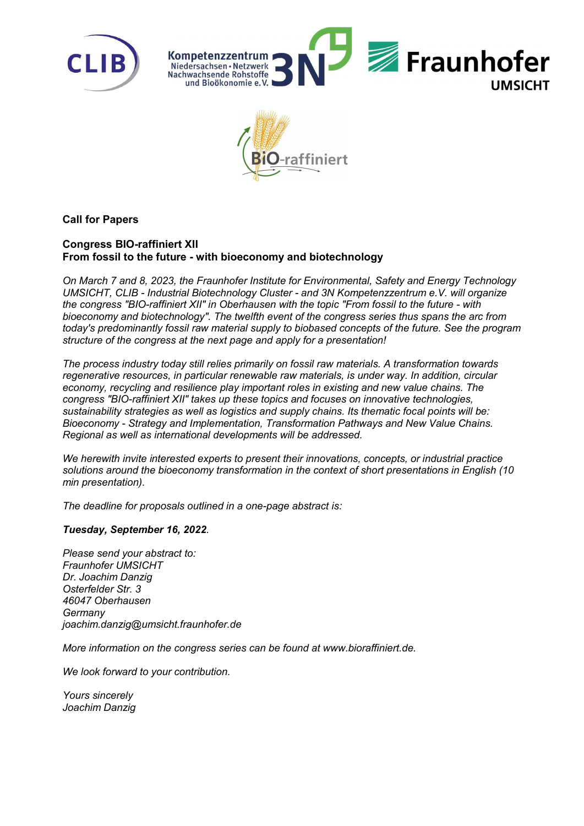





## Call for Papers

## Congress BIO-raffiniert XII From fossil to the future - with bioeconomy and biotechnology

On March 7 and 8, 2023, the Fraunhofer Institute for Environmental, Safety and Energy Technology UMSICHT, CLIB - Industrial Biotechnology Cluster - and 3N Kompetenzzentrum e.V. will organize the congress "BIO-raffiniert XII" in Oberhausen with the topic "From fossil to the future - with bioeconomy and biotechnology". The twelfth event of the congress series thus spans the arc from today's predominantly fossil raw material supply to biobased concepts of the future. See the program structure of the congress at the next page and apply for a presentation!

The process industry today still relies primarily on fossil raw materials. A transformation towards regenerative resources, in particular renewable raw materials, is under way. In addition, circular economy, recycling and resilience play important roles in existing and new value chains. The congress "BIO-raffiniert XII" takes up these topics and focuses on innovative technologies, sustainability strategies as well as logistics and supply chains. Its thematic focal points will be: Bioeconomy - Strategy and Implementation, Transformation Pathways and New Value Chains. Regional as well as international developments will be addressed.

We herewith invite interested experts to present their innovations, concepts, or industrial practice solutions around the bioeconomy transformation in the context of short presentations in English (10 min presentation).

The deadline for proposals outlined in a one-page abstract is:

## Tuesday, September 16, 2022.

Please send your abstract to: Fraunhofer UMSICHT Dr. Joachim Danzig Osterfelder Str. 3 46047 Oberhausen **Germany** joachim.danzig@umsicht.fraunhofer.de

More information on the congress series can be found at www.bioraffiniert.de.

We look forward to your contribution.

Yours sincerely Joachim Danzig